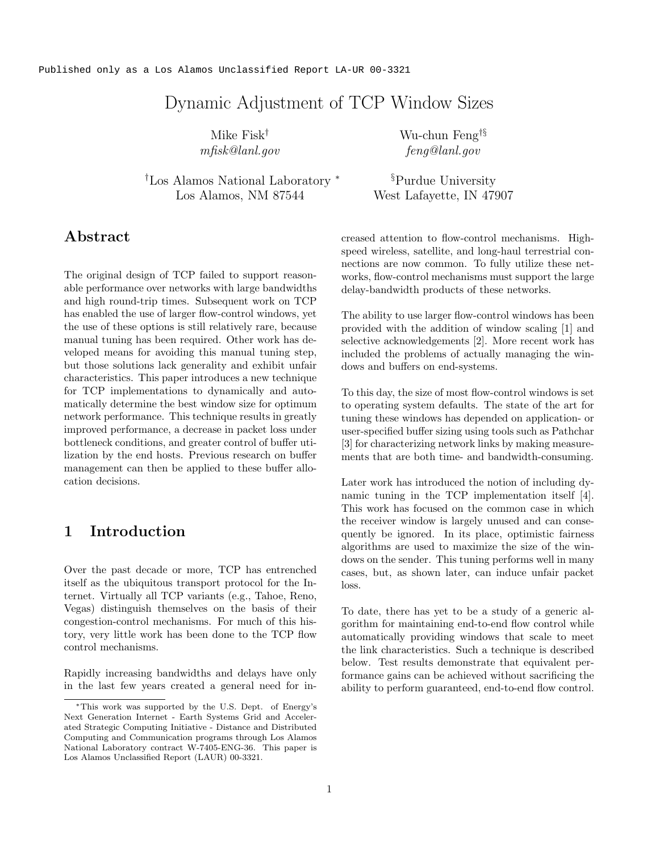# Dynamic Adjustment of TCP Window Sizes

Mike Fisk † mfisk@lanl.gov

†Los Alamos National Laboratory ∗ Los Alamos, NM 87544

Wu-chun Feng †§ feng@lanl.gov

§Purdue University West Lafayette, IN 47907

## Abstract

The original design of TCP failed to support reasonable performance over networks with large bandwidths and high round-trip times. Subsequent work on TCP has enabled the use of larger flow-control windows, yet the use of these options is still relatively rare, because manual tuning has been required. Other work has developed means for avoiding this manual tuning step, but those solutions lack generality and exhibit unfair characteristics. This paper introduces a new technique for TCP implementations to dynamically and automatically determine the best window size for optimum network performance. This technique results in greatly improved performance, a decrease in packet loss under bottleneck conditions, and greater control of buffer utilization by the end hosts. Previous research on buffer management can then be applied to these buffer allocation decisions.

## 1 Introduction

Over the past decade or more, TCP has entrenched itself as the ubiquitous transport protocol for the Internet. Virtually all TCP variants (e.g., Tahoe, Reno, Vegas) distinguish themselves on the basis of their congestion-control mechanisms. For much of this history, very little work has been done to the TCP flow control mechanisms.

Rapidly increasing bandwidths and delays have only in the last few years created a general need for increased attention to flow-control mechanisms. Highspeed wireless, satellite, and long-haul terrestrial connections are now common. To fully utilize these networks, flow-control mechanisms must support the large delay-bandwidth products of these networks.

The ability to use larger flow-control windows has been provided with the addition of window scaling [1] and selective acknowledgements [2]. More recent work has included the problems of actually managing the windows and buffers on end-systems.

To this day, the size of most flow-control windows is set to operating system defaults. The state of the art for tuning these windows has depended on application- or user-specified buffer sizing using tools such as Pathchar [3] for characterizing network links by making measurements that are both time- and bandwidth-consuming.

Later work has introduced the notion of including dynamic tuning in the TCP implementation itself [4]. This work has focused on the common case in which the receiver window is largely unused and can consequently be ignored. In its place, optimistic fairness algorithms are used to maximize the size of the windows on the sender. This tuning performs well in many cases, but, as shown later, can induce unfair packet loss.

To date, there has yet to be a study of a generic algorithm for maintaining end-to-end flow control while automatically providing windows that scale to meet the link characteristics. Such a technique is described below. Test results demonstrate that equivalent performance gains can be achieved without sacrificing the ability to perform guaranteed, end-to-end flow control.

<sup>∗</sup>This work was supported by the U.S. Dept. of Energy's Next Generation Internet - Earth Systems Grid and Accelerated Strategic Computing Initiative - Distance and Distributed Computing and Communication programs through Los Alamos National Laboratory contract W-7405-ENG-36. This paper is Los Alamos Unclassified Report (LAUR) 00-3321.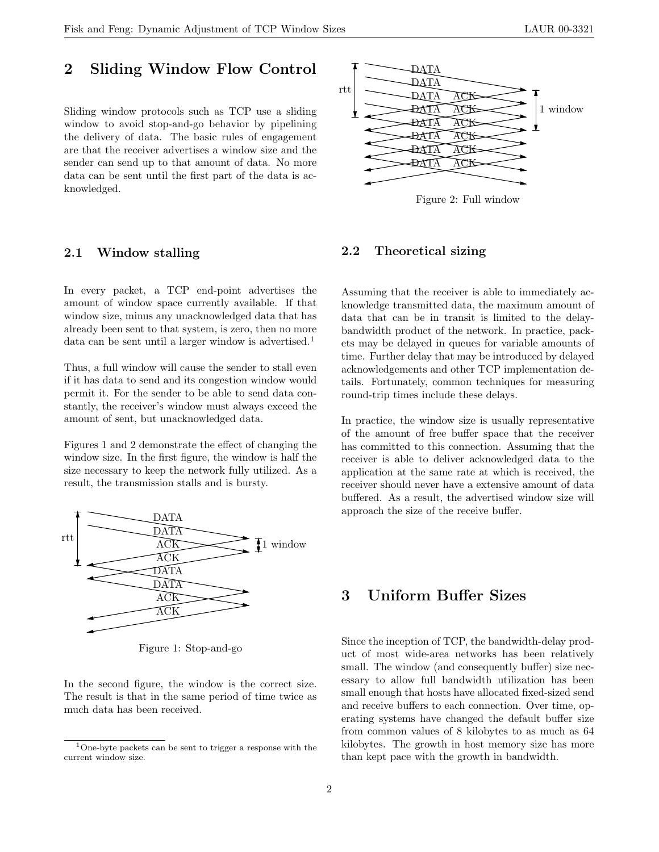### 2 Sliding Window Flow Control

Sliding window protocols such as TCP use a sliding window to avoid stop-and-go behavior by pipelining the delivery of data. The basic rules of engagement are that the receiver advertises a window size and the sender can send up to that amount of data. No more data can be sent until the first part of the data is acknowledged.

#### 2.1 Window stalling

In every packet, a TCP end-point advertises the amount of window space currently available. If that window size, minus any unacknowledged data that has already been sent to that system, is zero, then no more data can be sent until a larger window is advertised.<sup>1</sup>

Thus, a full window will cause the sender to stall even if it has data to send and its congestion window would permit it. For the sender to be able to send data constantly, the receiver's window must always exceed the amount of sent, but unacknowledged data.

Figures 1 and 2 demonstrate the effect of changing the window size. In the first figure, the window is half the size necessary to keep the network fully utilized. As a result, the transmission stalls and is bursty.



Figure 1: Stop-and-go

In the second figure, the window is the correct size. The result is that in the same period of time twice as much data has been received.



Figure 2: Full window

#### 2.2 Theoretical sizing

Assuming that the receiver is able to immediately acknowledge transmitted data, the maximum amount of data that can be in transit is limited to the delaybandwidth product of the network. In practice, packets may be delayed in queues for variable amounts of time. Further delay that may be introduced by delayed acknowledgements and other TCP implementation details. Fortunately, common techniques for measuring round-trip times include these delays.

In practice, the window size is usually representative of the amount of free buffer space that the receiver has committed to this connection. Assuming that the receiver is able to deliver acknowledged data to the application at the same rate at which is received, the receiver should never have a extensive amount of data buffered. As a result, the advertised window size will approach the size of the receive buffer.

## 3 Uniform Buffer Sizes

Since the inception of TCP, the bandwidth-delay product of most wide-area networks has been relatively small. The window (and consequently buffer) size necessary to allow full bandwidth utilization has been small enough that hosts have allocated fixed-sized send and receive buffers to each connection. Over time, operating systems have changed the default buffer size from common values of 8 kilobytes to as much as 64 kilobytes. The growth in host memory size has more than kept pace with the growth in bandwidth.

<sup>1</sup>One-byte packets can be sent to trigger a response with the current window size.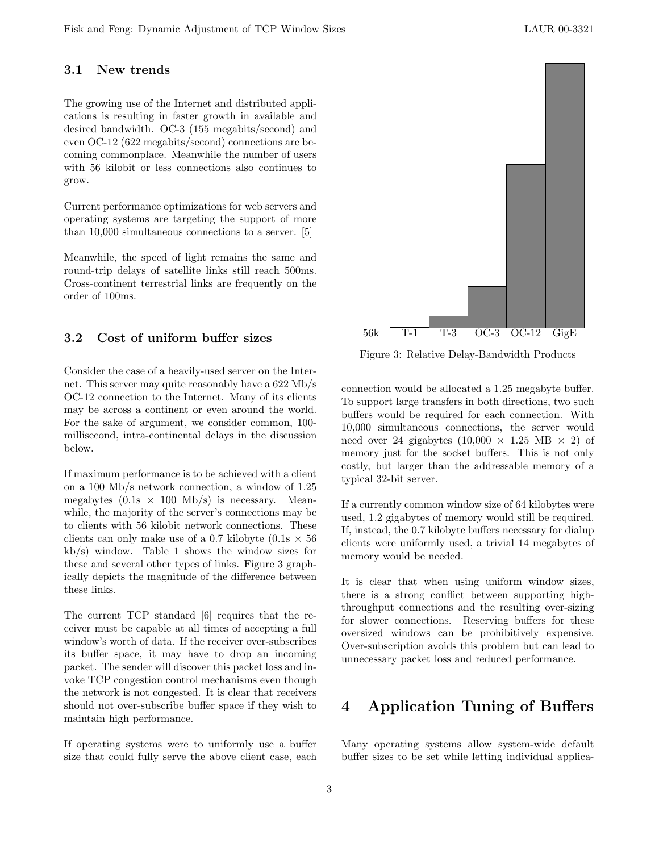### 3.1 New trends

The growing use of the Internet and distributed applications is resulting in faster growth in available and desired bandwidth. OC-3 (155 megabits/second) and even OC-12 (622 megabits/second) connections are becoming commonplace. Meanwhile the number of users with 56 kilobit or less connections also continues to grow.

Current performance optimizations for web servers and operating systems are targeting the support of more than 10,000 simultaneous connections to a server. [5]

Meanwhile, the speed of light remains the same and round-trip delays of satellite links still reach 500ms. Cross-continent terrestrial links are frequently on the order of 100ms.

#### 3.2 Cost of uniform buffer sizes

Consider the case of a heavily-used server on the Internet. This server may quite reasonably have a 622 Mb/s OC-12 connection to the Internet. Many of its clients may be across a continent or even around the world. For the sake of argument, we consider common, 100 millisecond, intra-continental delays in the discussion below.

If maximum performance is to be achieved with a client on a 100 Mb/s network connection, a window of 1.25 megabytes  $(0.1s \times 100 \text{ Mb/s})$  is necessary. Meanwhile, the majority of the server's connections may be to clients with 56 kilobit network connections. These clients can only make use of a 0.7 kilobyte  $(0.1s \times 56)$ kb/s) window. Table 1 shows the window sizes for these and several other types of links. Figure 3 graphically depicts the magnitude of the difference between these links.

The current TCP standard [6] requires that the receiver must be capable at all times of accepting a full window's worth of data. If the receiver over-subscribes its buffer space, it may have to drop an incoming packet. The sender will discover this packet loss and invoke TCP congestion control mechanisms even though the network is not congested. It is clear that receivers should not over-subscribe buffer space if they wish to maintain high performance.

If operating systems were to uniformly use a buffer size that could fully serve the above client case, each



Figure 3: Relative Delay-Bandwidth Products

connection would be allocated a 1.25 megabyte buffer. To support large transfers in both directions, two such buffers would be required for each connection. With 10,000 simultaneous connections, the server would need over 24 gigabytes  $(10,000 \times 1.25 \text{ MB} \times 2)$  of memory just for the socket buffers. This is not only costly, but larger than the addressable memory of a typical 32-bit server.

If a currently common window size of 64 kilobytes were used, 1.2 gigabytes of memory would still be required. If, instead, the 0.7 kilobyte buffers necessary for dialup clients were uniformly used, a trivial 14 megabytes of memory would be needed.

It is clear that when using uniform window sizes, there is a strong conflict between supporting highthroughput connections and the resulting over-sizing for slower connections. Reserving buffers for these oversized windows can be prohibitively expensive. Over-subscription avoids this problem but can lead to unnecessary packet loss and reduced performance.

## 4 Application Tuning of Buffers

Many operating systems allow system-wide default buffer sizes to be set while letting individual applica-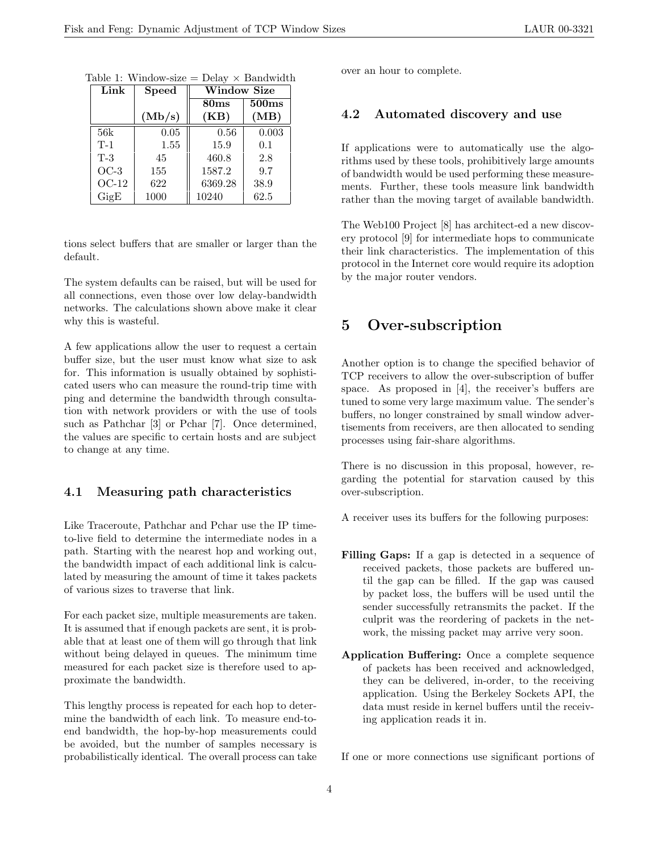| Link    | <b>Speed</b> | <b>Window Size</b> |       |
|---------|--------------|--------------------|-------|
|         |              | 80 <sub>ms</sub>   | 500ms |
|         | (Mb/s)       | (KB)               | (MB)  |
| 56k     | 0.05         | 0.56               | 0.003 |
| $T-1$   | 1.55         | 15.9               | 0.1   |
| $T-3$   | 45           | 460.8              | 2.8   |
| $OC-3$  | 155          | 1587.2             | 9.7   |
| $OC-12$ | 622          | 6369.28            | 38.9  |
| GigE    | 1000         | 10240              | 62.5  |

Table 1: Window-size =  $Delay \times Bandwidth$ 

tions select buffers that are smaller or larger than the default.

The system defaults can be raised, but will be used for all connections, even those over low delay-bandwidth networks. The calculations shown above make it clear why this is wasteful.

A few applications allow the user to request a certain buffer size, but the user must know what size to ask for. This information is usually obtained by sophisticated users who can measure the round-trip time with ping and determine the bandwidth through consultation with network providers or with the use of tools such as Pathchar [3] or Pchar [7]. Once determined, the values are specific to certain hosts and are subject to change at any time.

### 4.1 Measuring path characteristics

Like Traceroute, Pathchar and Pchar use the IP timeto-live field to determine the intermediate nodes in a path. Starting with the nearest hop and working out, the bandwidth impact of each additional link is calculated by measuring the amount of time it takes packets of various sizes to traverse that link.

For each packet size, multiple measurements are taken. It is assumed that if enough packets are sent, it is probable that at least one of them will go through that link without being delayed in queues. The minimum time measured for each packet size is therefore used to approximate the bandwidth.

This lengthy process is repeated for each hop to determine the bandwidth of each link. To measure end-toend bandwidth, the hop-by-hop measurements could be avoided, but the number of samples necessary is probabilistically identical. The overall process can take over an hour to complete.

### 4.2 Automated discovery and use

If applications were to automatically use the algorithms used by these tools, prohibitively large amounts of bandwidth would be used performing these measurements. Further, these tools measure link bandwidth rather than the moving target of available bandwidth.

The Web100 Project [8] has architect-ed a new discovery protocol [9] for intermediate hops to communicate their link characteristics. The implementation of this protocol in the Internet core would require its adoption by the major router vendors.

## 5 Over-subscription

Another option is to change the specified behavior of TCP receivers to allow the over-subscription of buffer space. As proposed in [4], the receiver's buffers are tuned to some very large maximum value. The sender's buffers, no longer constrained by small window advertisements from receivers, are then allocated to sending processes using fair-share algorithms.

There is no discussion in this proposal, however, regarding the potential for starvation caused by this over-subscription.

A receiver uses its buffers for the following purposes:

- Filling Gaps: If a gap is detected in a sequence of received packets, those packets are buffered until the gap can be filled. If the gap was caused by packet loss, the buffers will be used until the sender successfully retransmits the packet. If the culprit was the reordering of packets in the network, the missing packet may arrive very soon.
- Application Buffering: Once a complete sequence of packets has been received and acknowledged, they can be delivered, in-order, to the receiving application. Using the Berkeley Sockets API, the data must reside in kernel buffers until the receiving application reads it in.

If one or more connections use significant portions of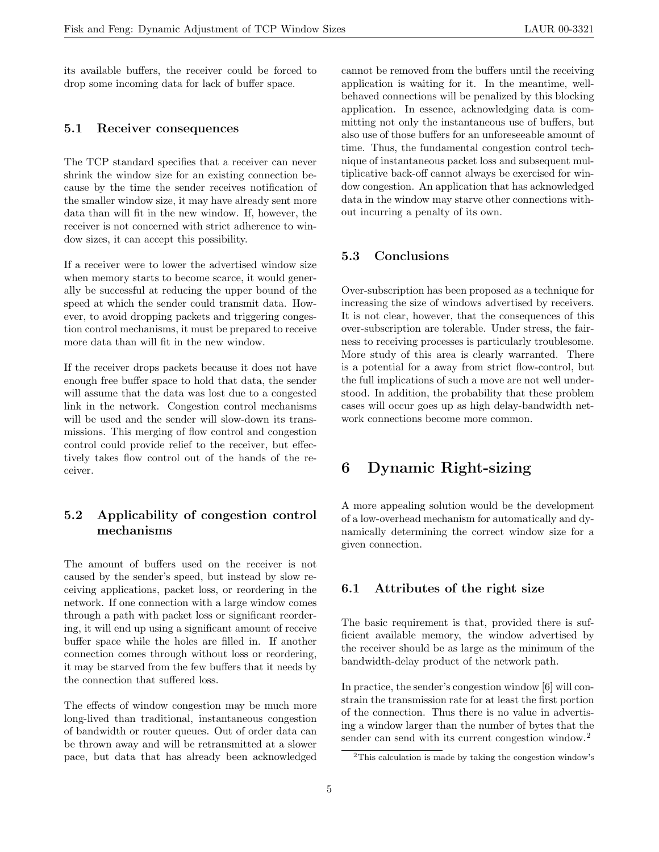its available buffers, the receiver could be forced to drop some incoming data for lack of buffer space.

#### 5.1 Receiver consequences

The TCP standard specifies that a receiver can never shrink the window size for an existing connection because by the time the sender receives notification of the smaller window size, it may have already sent more data than will fit in the new window. If, however, the receiver is not concerned with strict adherence to window sizes, it can accept this possibility.

If a receiver were to lower the advertised window size when memory starts to become scarce, it would generally be successful at reducing the upper bound of the speed at which the sender could transmit data. However, to avoid dropping packets and triggering congestion control mechanisms, it must be prepared to receive more data than will fit in the new window.

If the receiver drops packets because it does not have enough free buffer space to hold that data, the sender will assume that the data was lost due to a congested link in the network. Congestion control mechanisms will be used and the sender will slow-down its transmissions. This merging of flow control and congestion control could provide relief to the receiver, but effectively takes flow control out of the hands of the receiver.

### 5.2 Applicability of congestion control mechanisms

The amount of buffers used on the receiver is not caused by the sender's speed, but instead by slow receiving applications, packet loss, or reordering in the network. If one connection with a large window comes through a path with packet loss or significant reordering, it will end up using a significant amount of receive buffer space while the holes are filled in. If another connection comes through without loss or reordering, it may be starved from the few buffers that it needs by the connection that suffered loss.

The effects of window congestion may be much more long-lived than traditional, instantaneous congestion of bandwidth or router queues. Out of order data can be thrown away and will be retransmitted at a slower pace, but data that has already been acknowledged cannot be removed from the buffers until the receiving application is waiting for it. In the meantime, wellbehaved connections will be penalized by this blocking application. In essence, acknowledging data is committing not only the instantaneous use of buffers, but also use of those buffers for an unforeseeable amount of time. Thus, the fundamental congestion control technique of instantaneous packet loss and subsequent multiplicative back-off cannot always be exercised for window congestion. An application that has acknowledged data in the window may starve other connections without incurring a penalty of its own.

### 5.3 Conclusions

Over-subscription has been proposed as a technique for increasing the size of windows advertised by receivers. It is not clear, however, that the consequences of this over-subscription are tolerable. Under stress, the fairness to receiving processes is particularly troublesome. More study of this area is clearly warranted. There is a potential for a away from strict flow-control, but the full implications of such a move are not well understood. In addition, the probability that these problem cases will occur goes up as high delay-bandwidth network connections become more common.

## 6 Dynamic Right-sizing

A more appealing solution would be the development of a low-overhead mechanism for automatically and dynamically determining the correct window size for a given connection.

#### 6.1 Attributes of the right size

The basic requirement is that, provided there is sufficient available memory, the window advertised by the receiver should be as large as the minimum of the bandwidth-delay product of the network path.

In practice, the sender's congestion window [6] will constrain the transmission rate for at least the first portion of the connection. Thus there is no value in advertising a window larger than the number of bytes that the sender can send with its current congestion window.<sup>2</sup>

<sup>2</sup>This calculation is made by taking the congestion window's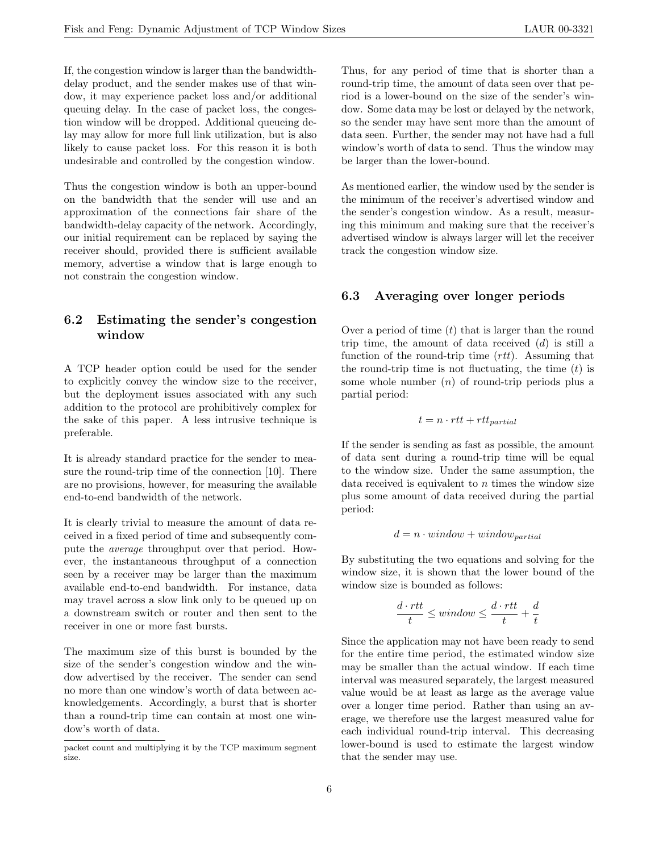If, the congestion window is larger than the bandwidthdelay product, and the sender makes use of that window, it may experience packet loss and/or additional queuing delay. In the case of packet loss, the congestion window will be dropped. Additional queueing delay may allow for more full link utilization, but is also likely to cause packet loss. For this reason it is both undesirable and controlled by the congestion window.

Thus the congestion window is both an upper-bound on the bandwidth that the sender will use and an approximation of the connections fair share of the bandwidth-delay capacity of the network. Accordingly, our initial requirement can be replaced by saying the receiver should, provided there is sufficient available memory, advertise a window that is large enough to not constrain the congestion window.

### 6.2 Estimating the sender's congestion window

A TCP header option could be used for the sender to explicitly convey the window size to the receiver, but the deployment issues associated with any such addition to the protocol are prohibitively complex for the sake of this paper. A less intrusive technique is preferable.

It is already standard practice for the sender to measure the round-trip time of the connection [10]. There are no provisions, however, for measuring the available end-to-end bandwidth of the network.

It is clearly trivial to measure the amount of data received in a fixed period of time and subsequently compute the average throughput over that period. However, the instantaneous throughput of a connection seen by a receiver may be larger than the maximum available end-to-end bandwidth. For instance, data may travel across a slow link only to be queued up on a downstream switch or router and then sent to the receiver in one or more fast bursts.

The maximum size of this burst is bounded by the size of the sender's congestion window and the window advertised by the receiver. The sender can send no more than one window's worth of data between acknowledgements. Accordingly, a burst that is shorter than a round-trip time can contain at most one window's worth of data.

Thus, for any period of time that is shorter than a round-trip time, the amount of data seen over that period is a lower-bound on the size of the sender's window. Some data may be lost or delayed by the network, so the sender may have sent more than the amount of data seen. Further, the sender may not have had a full window's worth of data to send. Thus the window may be larger than the lower-bound.

As mentioned earlier, the window used by the sender is the minimum of the receiver's advertised window and the sender's congestion window. As a result, measuring this minimum and making sure that the receiver's advertised window is always larger will let the receiver track the congestion window size.

### 6.3 Averaging over longer periods

Over a period of time  $(t)$  that is larger than the round trip time, the amount of data received  $(d)$  is still a function of the round-trip time  $(rt)$ . Assuming that the round-trip time is not fluctuating, the time  $(t)$  is some whole number  $(n)$  of round-trip periods plus a partial period:

$$
t = n \cdot rtt + rtt_{partial}
$$

If the sender is sending as fast as possible, the amount of data sent during a round-trip time will be equal to the window size. Under the same assumption, the data received is equivalent to  $n$  times the window size plus some amount of data received during the partial period:

$$
d = n \cdot window + window_{partial}
$$

By substituting the two equations and solving for the window size, it is shown that the lower bound of the window size is bounded as follows:

$$
\frac{d \cdot rt}{t} \leq window \leq \frac{d \cdot rt}{t} + \frac{d}{t}
$$

Since the application may not have been ready to send for the entire time period, the estimated window size may be smaller than the actual window. If each time interval was measured separately, the largest measured value would be at least as large as the average value over a longer time period. Rather than using an average, we therefore use the largest measured value for each individual round-trip interval. This decreasing lower-bound is used to estimate the largest window that the sender may use.

packet count and multiplying it by the TCP maximum segment size.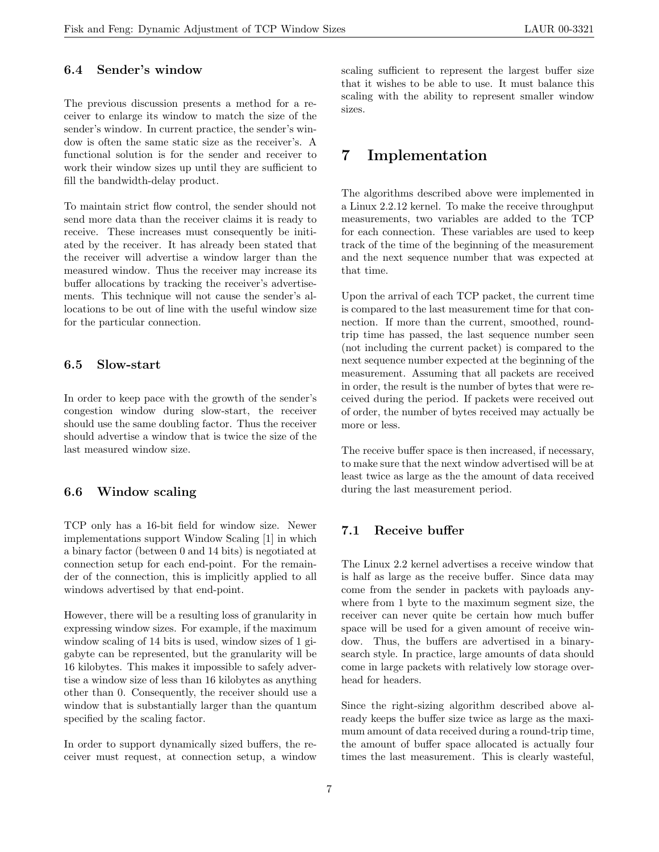### 6.4 Sender's window

The previous discussion presents a method for a receiver to enlarge its window to match the size of the sender's window. In current practice, the sender's window is often the same static size as the receiver's. A functional solution is for the sender and receiver to work their window sizes up until they are sufficient to fill the bandwidth-delay product.

To maintain strict flow control, the sender should not send more data than the receiver claims it is ready to receive. These increases must consequently be initiated by the receiver. It has already been stated that the receiver will advertise a window larger than the measured window. Thus the receiver may increase its buffer allocations by tracking the receiver's advertisements. This technique will not cause the sender's allocations to be out of line with the useful window size for the particular connection.

#### 6.5 Slow-start

In order to keep pace with the growth of the sender's congestion window during slow-start, the receiver should use the same doubling factor. Thus the receiver should advertise a window that is twice the size of the last measured window size.

#### 6.6 Window scaling

TCP only has a 16-bit field for window size. Newer implementations support Window Scaling [1] in which a binary factor (between 0 and 14 bits) is negotiated at connection setup for each end-point. For the remainder of the connection, this is implicitly applied to all windows advertised by that end-point.

However, there will be a resulting loss of granularity in expressing window sizes. For example, if the maximum window scaling of 14 bits is used, window sizes of 1 gigabyte can be represented, but the granularity will be 16 kilobytes. This makes it impossible to safely advertise a window size of less than 16 kilobytes as anything other than 0. Consequently, the receiver should use a window that is substantially larger than the quantum specified by the scaling factor.

In order to support dynamically sized buffers, the receiver must request, at connection setup, a window scaling sufficient to represent the largest buffer size that it wishes to be able to use. It must balance this scaling with the ability to represent smaller window sizes.

## 7 Implementation

The algorithms described above were implemented in a Linux 2.2.12 kernel. To make the receive throughput measurements, two variables are added to the TCP for each connection. These variables are used to keep track of the time of the beginning of the measurement and the next sequence number that was expected at that time.

Upon the arrival of each TCP packet, the current time is compared to the last measurement time for that connection. If more than the current, smoothed, roundtrip time has passed, the last sequence number seen (not including the current packet) is compared to the next sequence number expected at the beginning of the measurement. Assuming that all packets are received in order, the result is the number of bytes that were received during the period. If packets were received out of order, the number of bytes received may actually be more or less.

The receive buffer space is then increased, if necessary, to make sure that the next window advertised will be at least twice as large as the the amount of data received during the last measurement period.

#### 7.1 Receive buffer

The Linux 2.2 kernel advertises a receive window that is half as large as the receive buffer. Since data may come from the sender in packets with payloads anywhere from 1 byte to the maximum segment size, the receiver can never quite be certain how much buffer space will be used for a given amount of receive window. Thus, the buffers are advertised in a binarysearch style. In practice, large amounts of data should come in large packets with relatively low storage overhead for headers.

Since the right-sizing algorithm described above already keeps the buffer size twice as large as the maximum amount of data received during a round-trip time, the amount of buffer space allocated is actually four times the last measurement. This is clearly wasteful,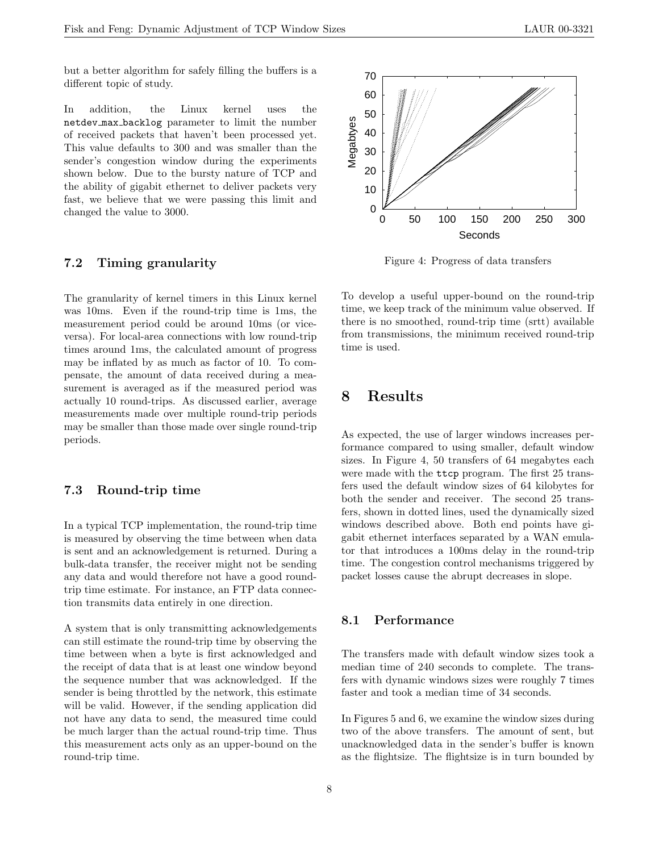but a better algorithm for safely filling the buffers is a different topic of study.

In addition, the Linux kernel uses the netdev max backlog parameter to limit the number of received packets that haven't been processed yet. This value defaults to 300 and was smaller than the sender's congestion window during the experiments shown below. Due to the bursty nature of TCP and the ability of gigabit ethernet to deliver packets very fast, we believe that we were passing this limit and changed the value to 3000.

### 7.2 Timing granularity

The granularity of kernel timers in this Linux kernel was 10ms. Even if the round-trip time is 1ms, the measurement period could be around 10ms (or viceversa). For local-area connections with low round-trip times around 1ms, the calculated amount of progress may be inflated by as much as factor of 10. To compensate, the amount of data received during a measurement is averaged as if the measured period was actually 10 round-trips. As discussed earlier, average measurements made over multiple round-trip periods may be smaller than those made over single round-trip periods.

#### 7.3 Round-trip time

In a typical TCP implementation, the round-trip time is measured by observing the time between when data is sent and an acknowledgement is returned. During a bulk-data transfer, the receiver might not be sending any data and would therefore not have a good roundtrip time estimate. For instance, an FTP data connection transmits data entirely in one direction.

A system that is only transmitting acknowledgements can still estimate the round-trip time by observing the time between when a byte is first acknowledged and the receipt of data that is at least one window beyond the sequence number that was acknowledged. If the sender is being throttled by the network, this estimate will be valid. However, if the sending application did not have any data to send, the measured time could be much larger than the actual round-trip time. Thus this measurement acts only as an upper-bound on the round-trip time.



Figure 4: Progress of data transfers

To develop a useful upper-bound on the round-trip time, we keep track of the minimum value observed. If there is no smoothed, round-trip time (srtt) available from transmissions, the minimum received round-trip time is used.

## 8 Results

As expected, the use of larger windows increases performance compared to using smaller, default window sizes. In Figure 4, 50 transfers of 64 megabytes each were made with the ttcp program. The first 25 transfers used the default window sizes of 64 kilobytes for both the sender and receiver. The second 25 transfers, shown in dotted lines, used the dynamically sized windows described above. Both end points have gigabit ethernet interfaces separated by a WAN emulator that introduces a 100ms delay in the round-trip time. The congestion control mechanisms triggered by packet losses cause the abrupt decreases in slope.

#### 8.1 Performance

The transfers made with default window sizes took a median time of 240 seconds to complete. The transfers with dynamic windows sizes were roughly 7 times faster and took a median time of 34 seconds.

In Figures 5 and 6, we examine the window sizes during two of the above transfers. The amount of sent, but unacknowledged data in the sender's buffer is known as the flightsize. The flightsize is in turn bounded by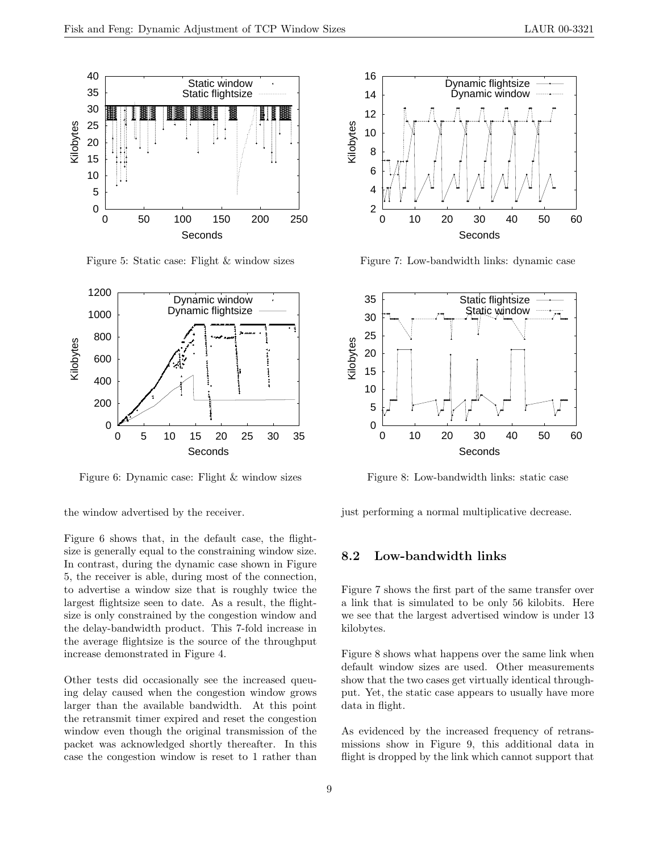

Figure 5: Static case: Flight & window sizes



Figure 6: Dynamic case: Flight & window sizes

the window advertised by the receiver.

Figure 6 shows that, in the default case, the flightsize is generally equal to the constraining window size. In contrast, during the dynamic case shown in Figure 5, the receiver is able, during most of the connection, to advertise a window size that is roughly twice the largest flightsize seen to date. As a result, the flightsize is only constrained by the congestion window and the delay-bandwidth product. This 7-fold increase in the average flightsize is the source of the throughput increase demonstrated in Figure 4.

Other tests did occasionally see the increased queuing delay caused when the congestion window grows larger than the available bandwidth. At this point the retransmit timer expired and reset the congestion window even though the original transmission of the packet was acknowledged shortly thereafter. In this case the congestion window is reset to 1 rather than



Figure 7: Low-bandwidth links: dynamic case



Figure 8: Low-bandwidth links: static case

just performing a normal multiplicative decrease.

### 8.2 Low-bandwidth links

Figure 7 shows the first part of the same transfer over a link that is simulated to be only 56 kilobits. Here we see that the largest advertised window is under 13 kilobytes.

Figure 8 shows what happens over the same link when default window sizes are used. Other measurements show that the two cases get virtually identical throughput. Yet, the static case appears to usually have more data in flight.

As evidenced by the increased frequency of retransmissions show in Figure 9, this additional data in flight is dropped by the link which cannot support that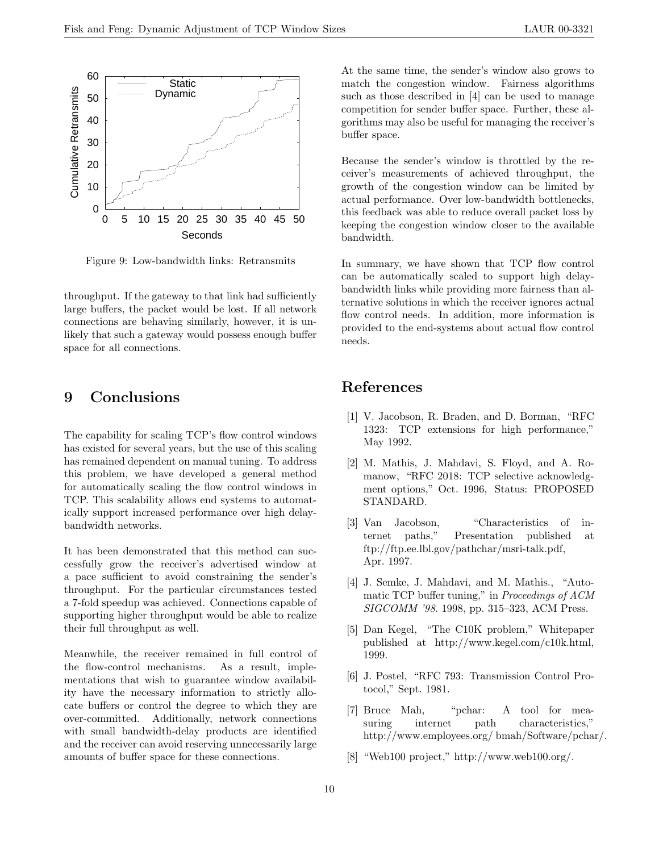

Figure 9: Low-bandwidth links: Retransmits

throughput. If the gateway to that link had sufficiently large buffers, the packet would be lost. If all network connections are behaving similarly, however, it is unlikely that such a gateway would possess enough buffer space for all connections.

## 9 Conclusions

The capability for scaling TCP's flow control windows has existed for several years, but the use of this scaling has remained dependent on manual tuning. To address this problem, we have developed a general method for automatically scaling the flow control windows in TCP. This scalability allows end systems to automatically support increased performance over high delaybandwidth networks.

It has been demonstrated that this method can successfully grow the receiver's advertised window at a pace sufficient to avoid constraining the sender's throughput. For the particular circumstances tested a 7-fold speedup was achieved. Connections capable of supporting higher throughput would be able to realize their full throughput as well.

Meanwhile, the receiver remained in full control of the flow-control mechanisms. As a result, implementations that wish to guarantee window availability have the necessary information to strictly allocate buffers or control the degree to which they are over-committed. Additionally, network connections with small bandwidth-delay products are identified and the receiver can avoid reserving unnecessarily large amounts of buffer space for these connections.

At the same time, the sender's window also grows to match the congestion window. Fairness algorithms such as those described in [4] can be used to manage competition for sender buffer space. Further, these algorithms may also be useful for managing the receiver's buffer space.

Because the sender's window is throttled by the receiver's measurements of achieved throughput, the growth of the congestion window can be limited by actual performance. Over low-bandwidth bottlenecks, this feedback was able to reduce overall packet loss by keeping the congestion window closer to the available bandwidth.

In summary, we have shown that TCP flow control can be automatically scaled to support high delaybandwidth links while providing more fairness than alternative solutions in which the receiver ignores actual flow control needs. In addition, more information is provided to the end-systems about actual flow control needs.

## References

- [1] V. Jacobson, R. Braden, and D. Borman, "RFC 1323: TCP extensions for high performance," May 1992.
- [2] M. Mathis, J. Mahdavi, S. Floyd, and A. Romanow, "RFC 2018: TCP selective acknowledgment options," Oct. 1996, Status: PROPOSED STANDARD.
- [3] Van Jacobson, "Characteristics of internet paths," Presentation published at ftp://ftp.ee.lbl.gov/pathchar/msri-talk.pdf, Apr. 1997.
- [4] J. Semke, J. Mahdavi, and M. Mathis., "Automatic TCP buffer tuning," in Proceedings of ACM SIGCOMM '98. 1998, pp. 315–323, ACM Press.
- [5] Dan Kegel, "The C10K problem," Whitepaper published at http://www.kegel.com/c10k.html, 1999.
- [6] J. Postel, "RFC 793: Transmission Control Protocol," Sept. 1981.
- [7] Bruce Mah, "pchar: A tool for measuring internet path characteristics," http://www.employees.org/ bmah/Software/pchar/.
- [8] "Web100 project," http://www.web100.org/.